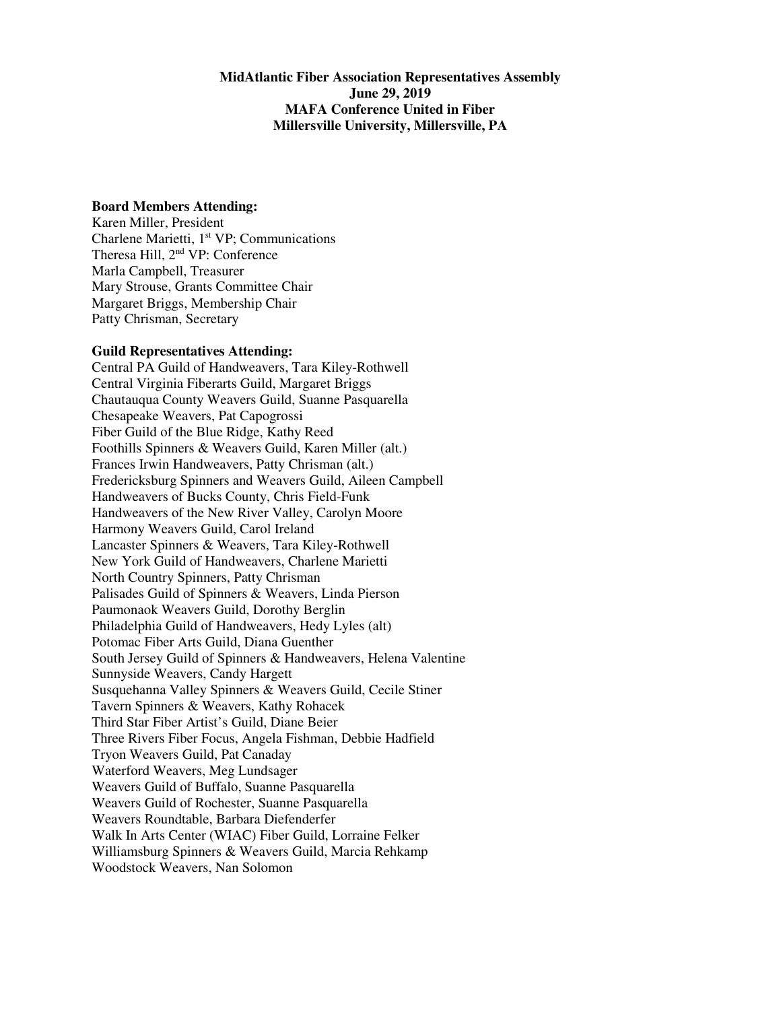**MidAtlantic Fiber Association Representatives Assembly June 29, 2019 MAFA Conference United in Fiber Millersville University, Millersville, PA** 

#### **Board Members Attending:**

Karen Miller, President Charlene Marietti, 1<sup>st</sup> VP; Communications Theresa Hill, 2nd VP: Conference Marla Campbell, Treasurer Mary Strouse, Grants Committee Chair Margaret Briggs, Membership Chair Patty Chrisman, Secretary

#### **Guild Representatives Attending:**

Central PA Guild of Handweavers, Tara Kiley-Rothwell Central Virginia Fiberarts Guild, Margaret Briggs Chautauqua County Weavers Guild, Suanne Pasquarella Chesapeake Weavers, Pat Capogrossi Fiber Guild of the Blue Ridge, Kathy Reed Foothills Spinners & Weavers Guild, Karen Miller (alt.) Frances Irwin Handweavers, Patty Chrisman (alt.) Fredericksburg Spinners and Weavers Guild, Aileen Campbell Handweavers of Bucks County, Chris Field-Funk Handweavers of the New River Valley, Carolyn Moore Harmony Weavers Guild, Carol Ireland Lancaster Spinners & Weavers, Tara Kiley-Rothwell New York Guild of Handweavers, Charlene Marietti North Country Spinners, Patty Chrisman Palisades Guild of Spinners & Weavers, Linda Pierson Paumonaok Weavers Guild, Dorothy Berglin Philadelphia Guild of Handweavers, Hedy Lyles (alt) Potomac Fiber Arts Guild, Diana Guenther South Jersey Guild of Spinners & Handweavers, Helena Valentine Sunnyside Weavers, Candy Hargett Susquehanna Valley Spinners & Weavers Guild, Cecile Stiner Tavern Spinners & Weavers, Kathy Rohacek Third Star Fiber Artist's Guild, Diane Beier Three Rivers Fiber Focus, Angela Fishman, Debbie Hadfield Tryon Weavers Guild, Pat Canaday Waterford Weavers, Meg Lundsager Weavers Guild of Buffalo, Suanne Pasquarella Weavers Guild of Rochester, Suanne Pasquarella Weavers Roundtable, Barbara Diefenderfer Walk In Arts Center (WIAC) Fiber Guild, Lorraine Felker Williamsburg Spinners & Weavers Guild, Marcia Rehkamp Woodstock Weavers, Nan Solomon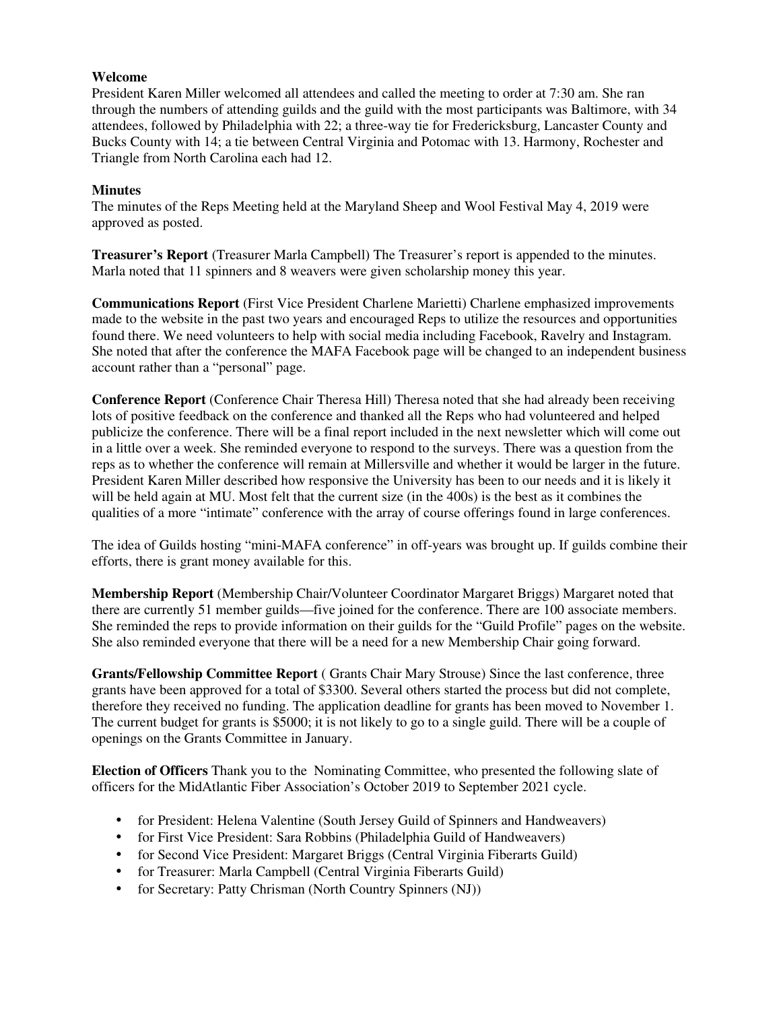# **Welcome**

President Karen Miller welcomed all attendees and called the meeting to order at 7:30 am. She ran through the numbers of attending guilds and the guild with the most participants was Baltimore, with 34 attendees, followed by Philadelphia with 22; a three-way tie for Fredericksburg, Lancaster County and Bucks County with 14; a tie between Central Virginia and Potomac with 13. Harmony, Rochester and Triangle from North Carolina each had 12.

# **Minutes**

The minutes of the Reps Meeting held at the Maryland Sheep and Wool Festival May 4, 2019 were approved as posted.

**Treasurer's Report** (Treasurer Marla Campbell) The Treasurer's report is appended to the minutes. Marla noted that 11 spinners and 8 weavers were given scholarship money this year.

**Communications Report** (First Vice President Charlene Marietti) Charlene emphasized improvements made to the website in the past two years and encouraged Reps to utilize the resources and opportunities found there. We need volunteers to help with social media including Facebook, Ravelry and Instagram. She noted that after the conference the MAFA Facebook page will be changed to an independent business account rather than a "personal" page.

**Conference Report** (Conference Chair Theresa Hill) Theresa noted that she had already been receiving lots of positive feedback on the conference and thanked all the Reps who had volunteered and helped publicize the conference. There will be a final report included in the next newsletter which will come out in a little over a week. She reminded everyone to respond to the surveys. There was a question from the reps as to whether the conference will remain at Millersville and whether it would be larger in the future. President Karen Miller described how responsive the University has been to our needs and it is likely it will be held again at MU. Most felt that the current size (in the 400s) is the best as it combines the qualities of a more "intimate" conference with the array of course offerings found in large conferences.

The idea of Guilds hosting "mini-MAFA conference" in off-years was brought up. If guilds combine their efforts, there is grant money available for this.

**Membership Report** (Membership Chair/Volunteer Coordinator Margaret Briggs) Margaret noted that there are currently 51 member guilds—five joined for the conference. There are 100 associate members. She reminded the reps to provide information on their guilds for the "Guild Profile" pages on the website. She also reminded everyone that there will be a need for a new Membership Chair going forward.

**Grants/Fellowship Committee Report** ( Grants Chair Mary Strouse) Since the last conference, three grants have been approved for a total of \$3300. Several others started the process but did not complete, therefore they received no funding. The application deadline for grants has been moved to November 1. The current budget for grants is \$5000; it is not likely to go to a single guild. There will be a couple of openings on the Grants Committee in January.

**Election of Officers** Thank you to the Nominating Committee, who presented the following slate of officers for the MidAtlantic Fiber Association's October 2019 to September 2021 cycle.

- for President: Helena Valentine (South Jersey Guild of Spinners and Handweavers)
- for First Vice President: Sara Robbins (Philadelphia Guild of Handweavers)
- for Second Vice President: Margaret Briggs (Central Virginia Fiberarts Guild)
- for Treasurer: Marla Campbell (Central Virginia Fiberarts Guild)
- for Secretary: Patty Chrisman (North Country Spinners (NJ))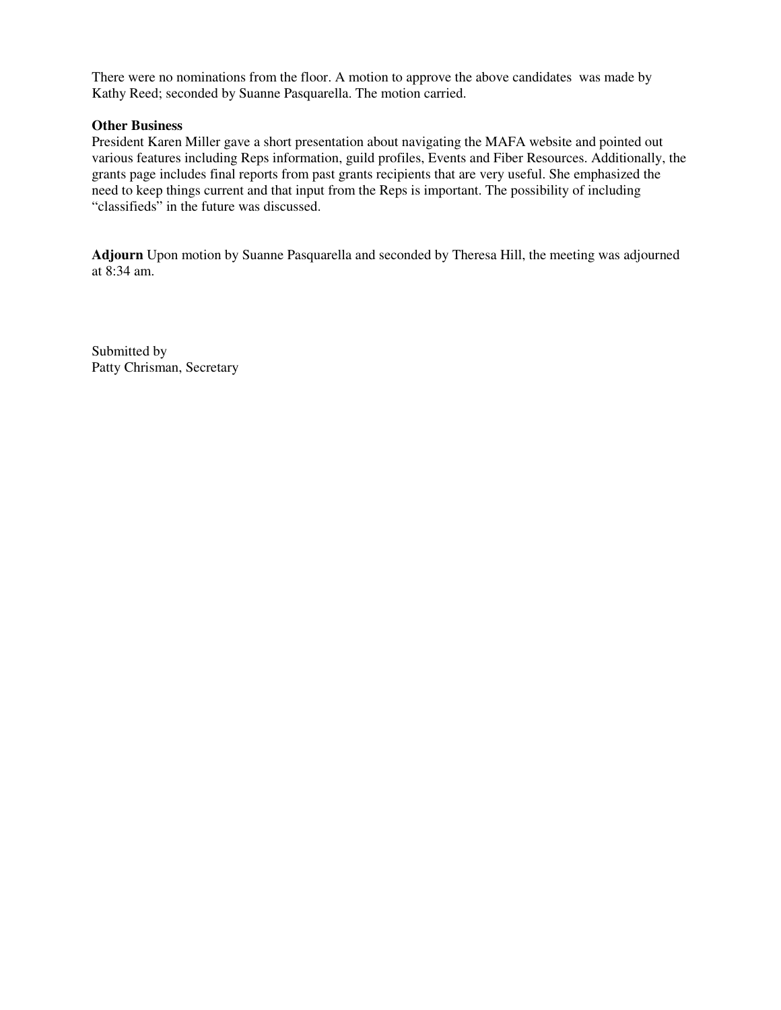There were no nominations from the floor. A motion to approve the above candidates was made by Kathy Reed; seconded by Suanne Pasquarella. The motion carried.

# **Other Business**

President Karen Miller gave a short presentation about navigating the MAFA website and pointed out various features including Reps information, guild profiles, Events and Fiber Resources. Additionally, the grants page includes final reports from past grants recipients that are very useful. She emphasized the need to keep things current and that input from the Reps is important. The possibility of including "classifieds" in the future was discussed.

**Adjourn** Upon motion by Suanne Pasquarella and seconded by Theresa Hill, the meeting was adjourned at 8:34 am.

Submitted by Patty Chrisman, Secretary